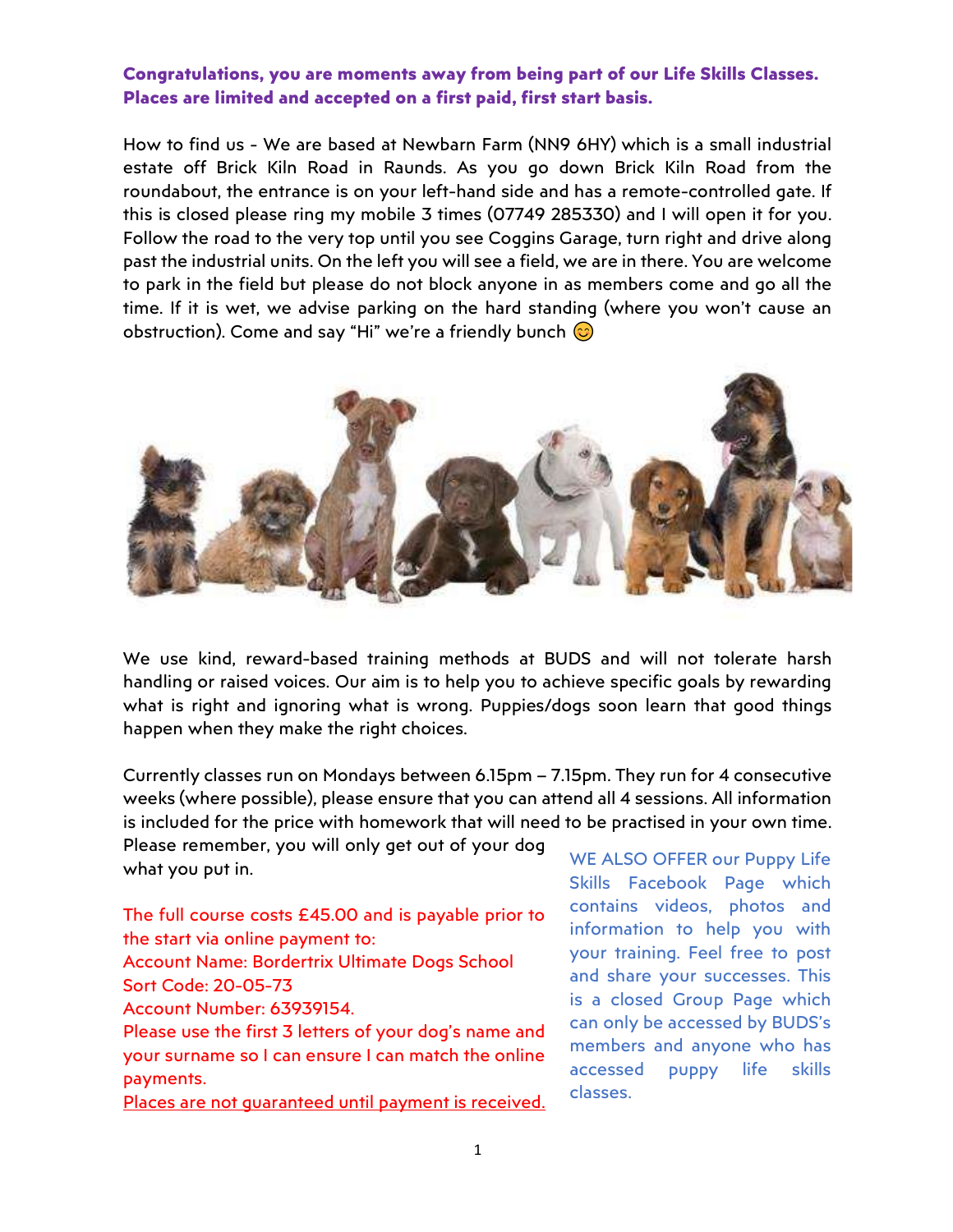## Congratulations, you are moments away from being part of our Life Skills Classes. Places are limited and accepted on a first paid, first start basis.

How to find us - We are based at Newbarn Farm (NN9 6HY) which is a small industrial estate off Brick Kiln Road in Raunds. As you go down Brick Kiln Road from the roundabout, the entrance is on your left-hand side and has a remote-controlled gate. If this is closed please ring my mobile 3 times (07749 285330) and I will open it for you. Follow the road to the very top until you see Coggins Garage, turn right and drive along past the industrial units. On the left you will see a field, we are in there. You are welcome to park in the field but please do not block anyone in as members come and go all the time. If it is wet, we advise parking on the hard standing (where you won't cause an obstruction). Come and say "Hi" we're a friendly bunch  $\odot$ 



We use kind, reward-based training methods at BUDS and will not tolerate harsh handling or raised voices. Our aim is to help you to achieve specific goals by rewarding what is right and ignoring what is wrong. Puppies/dogs soon learn that good things happen when they make the right choices.

Currently classes run on Mondays between 6.15pm – 7.15pm. They run for 4 consecutive weeks (where possible), please ensure that you can attend all 4 sessions. All information is included for the price with homework that will need to be practised in your own time.

Please remember, you will only get out of your dog what you put in.

The full course costs £45.00 and is payable prior to the start via online payment to: Account Name: Bordertrix Ultimate Dogs School Sort Code: 20-05-73 Account Number: 63939154. Please use the first 3 letters of your dog's name and

your surname so I can ensure I can match the online payments.

Places are not quaranteed until payment is received.

WE ALSO OFFER our Puppy Life Skills Facebook Page which contains videos, photos and information to help you with your training. Feel free to post and share your successes. This is a closed Group Page which can only be accessed by BUDS's members and anyone who has accessed puppy life skills classes.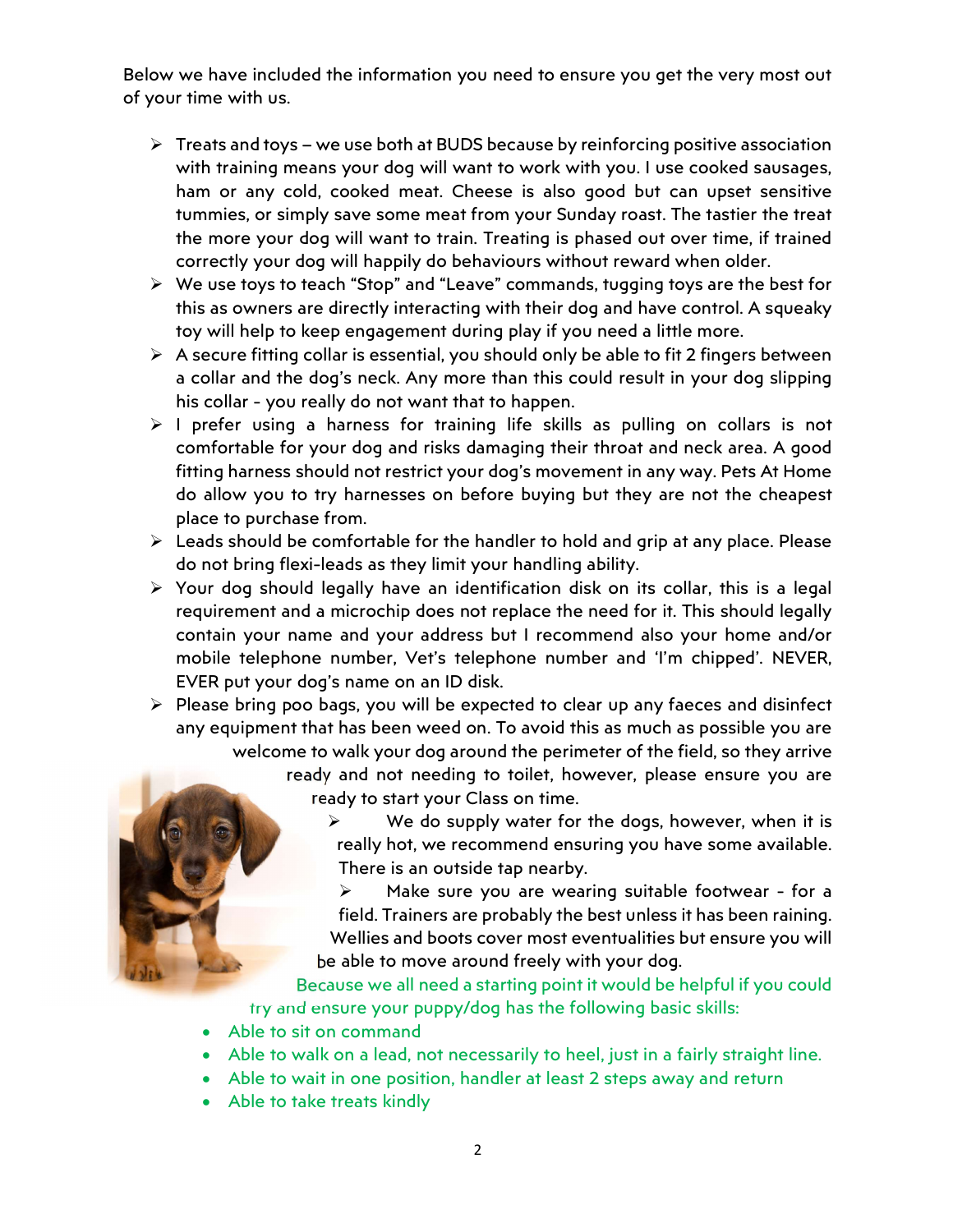Below we have included the information you need to ensure you get the very most out of your time with us.

- $\triangleright$  Treats and toys we use both at BUDS because by reinforcing positive association with training means your dog will want to work with you. I use cooked sausages, ham or any cold, cooked meat. Cheese is also good but can upset sensitive tummies, or simply save some meat from your Sunday roast. The tastier the treat the more your dog will want to train. Treating is phased out over time, if trained correctly your dog will happily do behaviours without reward when older.
- $\triangleright$  We use toys to teach "Stop" and "Leave" commands, tugging toys are the best for this as owners are directly interacting with their dog and have control. A squeaky toy will help to keep engagement during play if you need a little more.
- $\triangleright$  A secure fitting collar is essential, you should only be able to fit 2 fingers between a collar and the dog's neck. Any more than this could result in your dog slipping his collar - you really do not want that to happen.
- $\triangleright$  I prefer using a harness for training life skills as pulling on collars is not comfortable for your dog and risks damaging their throat and neck area. A good fitting harness should not restrict your dog's movement in any way. Pets At Home do allow you to try harnesses on before buying but they are not the cheapest place to purchase from.
- $\triangleright$  Leads should be comfortable for the handler to hold and grip at any place. Please do not bring flexi-leads as they limit your handling ability.
- $\triangleright$  Your dog should legally have an identification disk on its collar, this is a legal requirement and a microchip does not replace the need for it. This should legally contain your name and your address but I recommend also your home and/or mobile telephone number, Vet's telephone number and 'I'm chipped'. NEVER, EVER put your dog's name on an ID disk.
- $\triangleright$  Please bring poo bags, you will be expected to clear up any faeces and disinfect any equipment that has been weed on. To avoid this as much as possible you are welcome to walk your dog around the perimeter of the field, so they arrive ready and not needing to toilet, however, please ensure you are ready to start your Class on time.

 We do supply water for the dogs, however, when it is really hot, we recommend ensuring you have some available. There is an outside tap nearby.

 Make sure you are wearing suitable footwear - for a field. Trainers are probably the best unless it has been raining. Wellies and boots cover most eventualities but ensure you will be able to move around freely with your dog.

Because we all need a starting point it would be helpful if you could try and ensure your puppy/dog has the following basic skills:

- Able to sit on command
- Able to walk on a lead, not necessarily to heel, just in a fairly straight line.
- Able to wait in one position, handler at least 2 steps away and return
- Able to take treats kindly